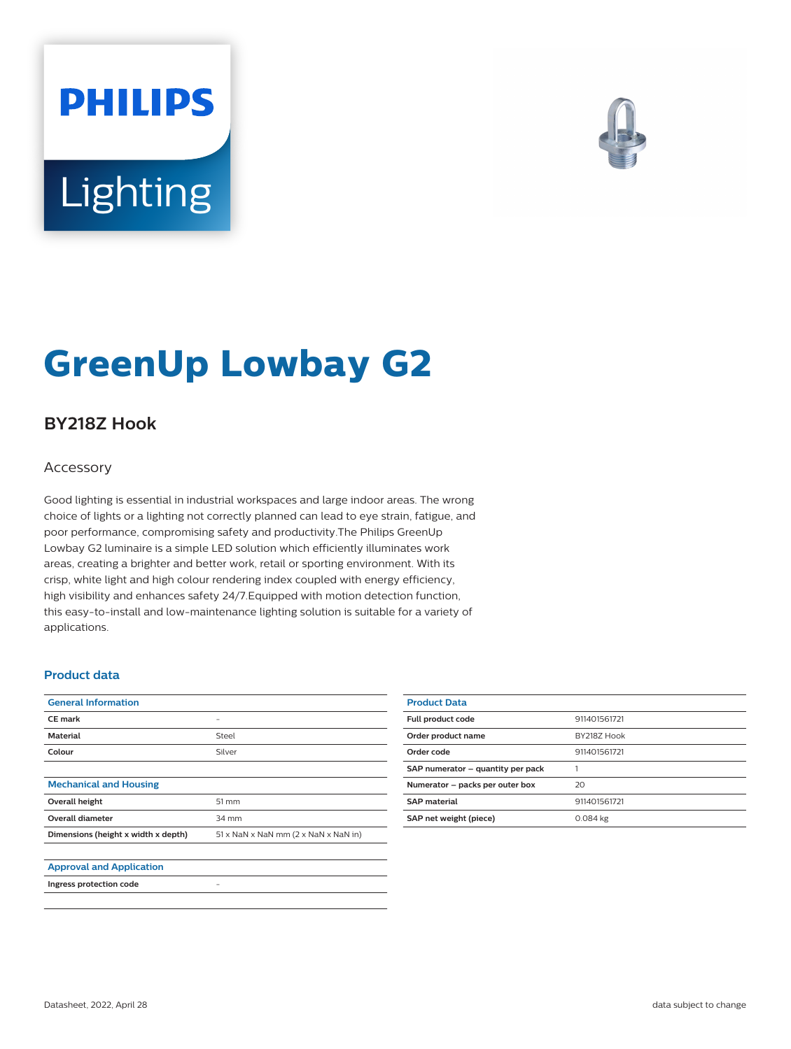# **PHILIPS** Lighting



# **GreenUp Lowbay G2**

## **BY218Z Hook**

#### Accessory

Good lighting is essential in industrial workspaces and large indoor areas. The wrong choice of lights or a lighting not correctly planned can lead to eye strain, fatigue, and poor performance, compromising safety and productivity.The Philips GreenUp Lowbay G2 luminaire is a simple LED solution which efficiently illuminates work areas, creating a brighter and better work, retail or sporting environment. With its crisp, white light and high colour rendering index coupled with energy efficiency, high visibility and enhances safety 24/7.Equipped with motion detection function, this easy-to-install and low-maintenance lighting solution is suitable for a variety of applications.

#### **Product data**

| <b>General Information</b>          |                                                                  |
|-------------------------------------|------------------------------------------------------------------|
| <b>CE</b> mark                      |                                                                  |
| <b>Material</b>                     | Steel                                                            |
| Colour                              | Silver                                                           |
|                                     |                                                                  |
| <b>Mechanical and Housing</b>       |                                                                  |
| Overall height                      | 51 mm                                                            |
| <b>Overall diameter</b>             | 34 mm                                                            |
| Dimensions (height x width x depth) | $51 \times$ NaN $\times$ NaN mm (2 $\times$ NaN $\times$ NaN in) |
|                                     |                                                                  |
| <b>Approval and Application</b>     |                                                                  |
| Ingress protection code             |                                                                  |

| <b>Product Data</b>               |              |
|-----------------------------------|--------------|
| Full product code                 | 911401561721 |
| Order product name                | BY218Z Hook  |
| Order code                        | 911401561721 |
| SAP numerator - quantity per pack |              |
| Numerator - packs per outer box   | 20           |
| <b>SAP material</b>               | 911401561721 |
| SAP net weight (piece)            | 0.084 kg     |
|                                   |              |